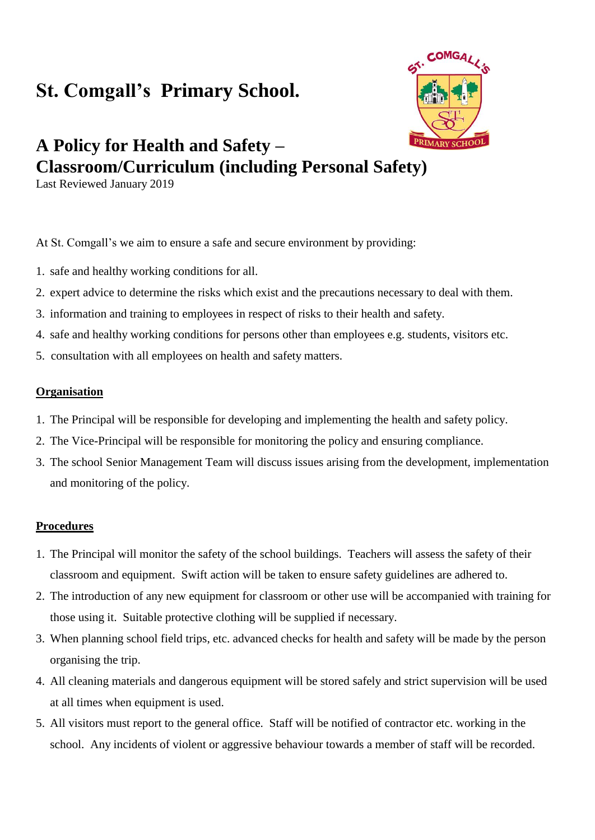# **St. Comgall's Primary School.**



# **A Policy for Health and Safety – Classroom/Curriculum (including Personal Safety)**

Last Reviewed January 2019

At St. Comgall's we aim to ensure a safe and secure environment by providing:

- 1. safe and healthy working conditions for all.
- 2. expert advice to determine the risks which exist and the precautions necessary to deal with them.
- 3. information and training to employees in respect of risks to their health and safety.
- 4. safe and healthy working conditions for persons other than employees e.g. students, visitors etc.
- 5. consultation with all employees on health and safety matters.

#### **Organisation**

- 1. The Principal will be responsible for developing and implementing the health and safety policy.
- 2. The Vice-Principal will be responsible for monitoring the policy and ensuring compliance.
- 3. The school Senior Management Team will discuss issues arising from the development, implementation and monitoring of the policy.

#### **Procedures**

- 1. The Principal will monitor the safety of the school buildings. Teachers will assess the safety of their classroom and equipment. Swift action will be taken to ensure safety guidelines are adhered to.
- 2. The introduction of any new equipment for classroom or other use will be accompanied with training for those using it. Suitable protective clothing will be supplied if necessary.
- 3. When planning school field trips, etc. advanced checks for health and safety will be made by the person organising the trip.
- 4. All cleaning materials and dangerous equipment will be stored safely and strict supervision will be used at all times when equipment is used.
- 5. All visitors must report to the general office. Staff will be notified of contractor etc. working in the school. Any incidents of violent or aggressive behaviour towards a member of staff will be recorded.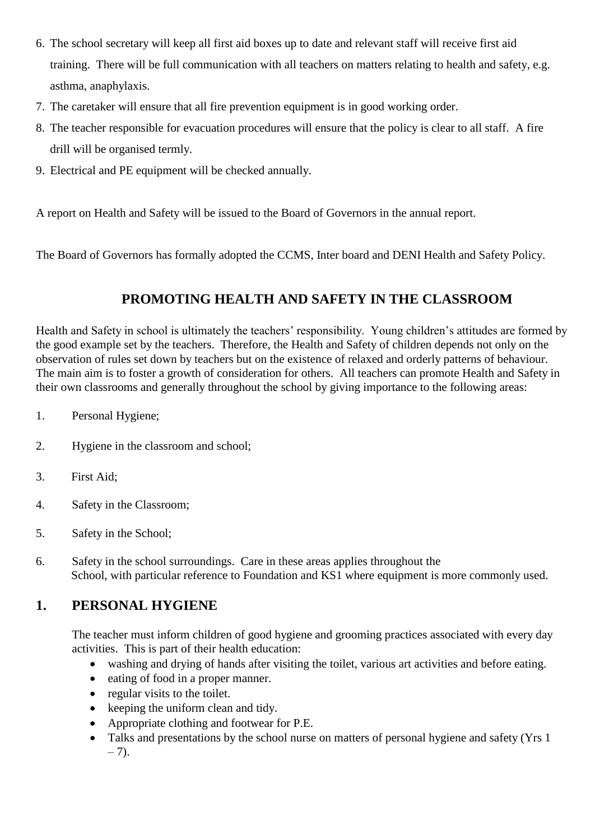- 6. The school secretary will keep all first aid boxes up to date and relevant staff will receive first aid training. There will be full communication with all teachers on matters relating to health and safety, e.g. asthma, anaphylaxis.
- 7. The caretaker will ensure that all fire prevention equipment is in good working order.
- 8. The teacher responsible for evacuation procedures will ensure that the policy is clear to all staff. A fire drill will be organised termly.
- 9. Electrical and PE equipment will be checked annually.

A report on Health and Safety will be issued to the Board of Governors in the annual report.

The Board of Governors has formally adopted the CCMS, Inter board and DENI Health and Safety Policy.

### **PROMOTING HEALTH AND SAFETY IN THE CLASSROOM**

Health and Safety in school is ultimately the teachers' responsibility. Young children's attitudes are formed by the good example set by the teachers. Therefore, the Health and Safety of children depends not only on the observation of rules set down by teachers but on the existence of relaxed and orderly patterns of behaviour. The main aim is to foster a growth of consideration for others. All teachers can promote Health and Safety in their own classrooms and generally throughout the school by giving importance to the following areas:

- 1. Personal Hygiene;
- 2. Hygiene in the classroom and school;
- 3. First Aid;
- 4. Safety in the Classroom;
- 5. Safety in the School;
- 6. Safety in the school surroundings. Care in these areas applies throughout the School, with particular reference to Foundation and KS1 where equipment is more commonly used.

#### **1. PERSONAL HYGIENE**

The teacher must inform children of good hygiene and grooming practices associated with every day activities. This is part of their health education:

- washing and drying of hands after visiting the toilet, various art activities and before eating.
- eating of food in a proper manner.
- regular visits to the toilet.
- keeping the uniform clean and tidy.
- Appropriate clothing and footwear for P.E.
- Talks and presentations by the school nurse on matters of personal hygiene and safety (Yrs 1)  $-7$ ).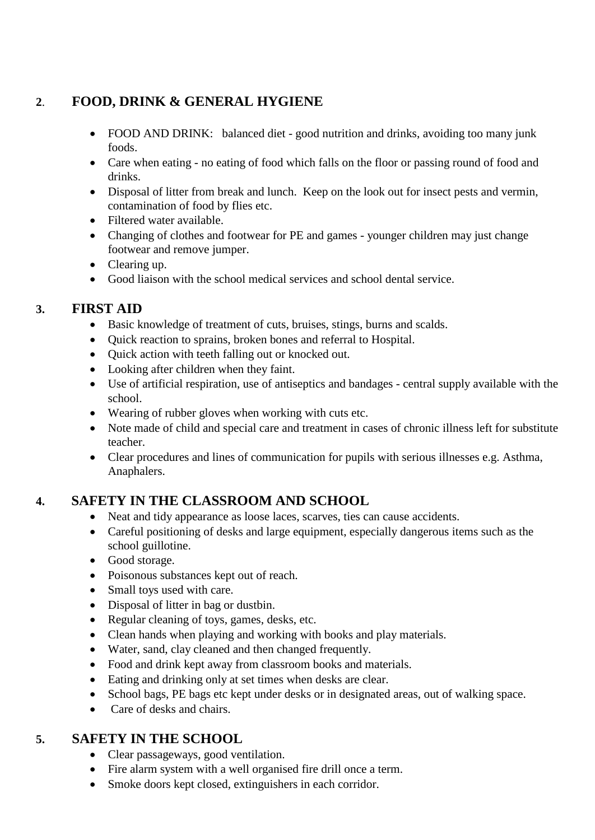## **2**. **FOOD, DRINK & GENERAL HYGIENE**

- FOOD AND DRINK: balanced diet good nutrition and drinks, avoiding too many junk foods.
- Care when eating no eating of food which falls on the floor or passing round of food and drinks.
- Disposal of litter from break and lunch. Keep on the look out for insect pests and vermin, contamination of food by flies etc.
- Filtered water available.
- Changing of clothes and footwear for PE and games younger children may just change footwear and remove jumper.
- Clearing up.
- Good liaison with the school medical services and school dental service.

### **3. FIRST AID**

- Basic knowledge of treatment of cuts, bruises, stings, burns and scalds.
- Quick reaction to sprains, broken bones and referral to Hospital.
- Quick action with teeth falling out or knocked out.
- Looking after children when they faint.
- Use of artificial respiration, use of antiseptics and bandages central supply available with the school.
- Wearing of rubber gloves when working with cuts etc.
- Note made of child and special care and treatment in cases of chronic illness left for substitute teacher.
- Clear procedures and lines of communication for pupils with serious illnesses e.g. Asthma, Anaphalers.

## **4. SAFETY IN THE CLASSROOM AND SCHOOL**

- Neat and tidy appearance as loose laces, scarves, ties can cause accidents.
- Careful positioning of desks and large equipment, especially dangerous items such as the school guillotine.
- Good storage.
- Poisonous substances kept out of reach.
- Small toys used with care.
- Disposal of litter in bag or dustbin.
- Regular cleaning of toys, games, desks, etc.
- Clean hands when playing and working with books and play materials.
- Water, sand, clay cleaned and then changed frequently.
- Food and drink kept away from classroom books and materials.
- Eating and drinking only at set times when desks are clear.
- School bags, PE bags etc kept under desks or in designated areas, out of walking space.
- Care of desks and chairs.

#### **5. SAFETY IN THE SCHOOL**

- Clear passageways, good ventilation.
- Fire alarm system with a well organised fire drill once a term.
- Smoke doors kept closed, extinguishers in each corridor.